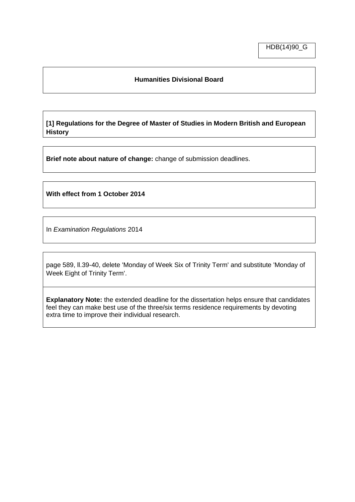### **Humanities Divisional Board**

**[1] Regulations for the Degree of Master of Studies in Modern British and European History**

**Brief note about nature of change:** change of submission deadlines.

**With effect from 1 October 2014**

In *Examination Regulations* 2014

page 589, ll.39-40, delete 'Monday of Week Six of Trinity Term' and substitute 'Monday of Week Eight of Trinity Term'.

**Explanatory Note:** the extended deadline for the dissertation helps ensure that candidates feel they can make best use of the three/six terms residence requirements by devoting extra time to improve their individual research.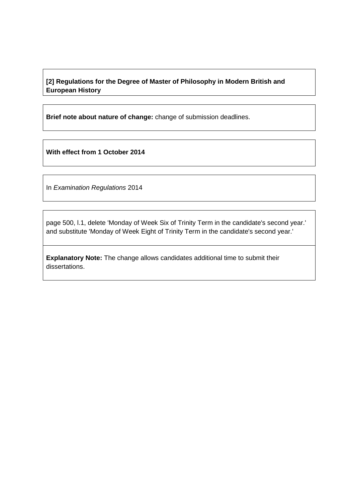**[2] Regulations for the Degree of Master of Philosophy in Modern British and European History** 

**Brief note about nature of change:** change of submission deadlines.

**With effect from 1 October 2014**

In *Examination Regulations* 2014

page 500, l.1, delete 'Monday of Week Six of Trinity Term in the candidate's second year.' and substitute 'Monday of Week Eight of Trinity Term in the candidate's second year.'

**Explanatory Note:** The change allows candidates additional time to submit their dissertations.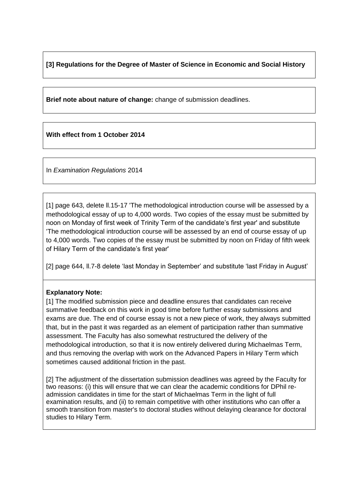**[3] Regulations for the Degree of Master of Science in Economic and Social History**

**Brief note about nature of change:** change of submission deadlines.

**With effect from 1 October 2014**

In *Examination Regulations* 2014

[1] page 643, delete ll.15-17 'The methodological introduction course will be assessed by a methodological essay of up to 4,000 words. Two copies of the essay must be submitted by noon on Monday of first week of Trinity Term of the candidate's first year' and substitute 'The methodological introduction course will be assessed by an end of course essay of up to 4,000 words. Two copies of the essay must be submitted by noon on Friday of fifth week of Hilary Term of the candidate's first year'

[2] page 644, II.7-8 delete 'last Monday in September' and substitute 'last Friday in August'

### **Explanatory Note:**

[1] The modified submission piece and deadline ensures that candidates can receive summative feedback on this work in good time before further essay submissions and exams are due. The end of course essay is not a new piece of work, they always submitted that, but in the past it was regarded as an element of participation rather than summative assessment. The Faculty has also somewhat restructured the delivery of the methodological introduction, so that it is now entirely delivered during Michaelmas Term, and thus removing the overlap with work on the Advanced Papers in Hilary Term which sometimes caused additional friction in the past.

[2] The adjustment of the dissertation submission deadlines was agreed by the Faculty for two reasons: (i) this will ensure that we can clear the academic conditions for DPhil readmission candidates in time for the start of Michaelmas Term in the light of full examination results, and (ii) to remain competitive with other institutions who can offer a smooth transition from master's to doctoral studies without delaying clearance for doctoral studies to Hilary Term.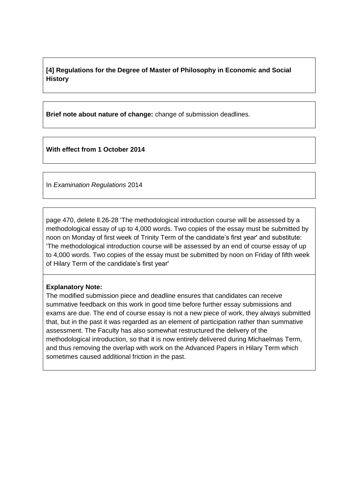# **[4] Regulations for the Degree of Master of Philosophy in Economic and Social History**

**Brief note about nature of change:** change of submission deadlines.

**With effect from 1 October 2014**

In *Examination Regulations* 2014

page 470, delete ll.26-28 'The methodological introduction course will be assessed by a methodological essay of up to 4,000 words. Two copies of the essay must be submitted by noon on Monday of first week of Trinity Term of the candidate's first year' and substitute: 'The methodological introduction course will be assessed by an end of course essay of up to 4,000 words. Two copies of the essay must be submitted by noon on Friday of fifth week of Hilary Term of the candidate's first year'

### **Explanatory Note:**

The modified submission piece and deadline ensures that candidates can receive summative feedback on this work in good time before further essay submissions and exams are due. The end of course essay is not a new piece of work, they always submitted that, but in the past it was regarded as an element of participation rather than summative assessment. The Faculty has also somewhat restructured the delivery of the methodological introduction, so that it is now entirely delivered during Michaelmas Term, and thus removing the overlap with work on the Advanced Papers in Hilary Term which sometimes caused additional friction in the past.